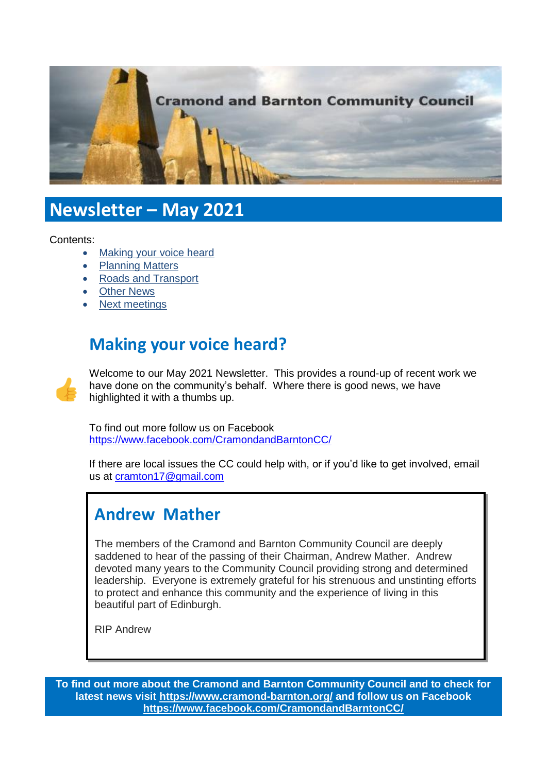

# **Newsletter – May 2021**

Contents:

- [Making your voice heard](#page-0-0)
- [Planning Matters](#page-1-0)
- [Roads and Transport](#page-2-0)
- [Other News](#page-4-0)
- [Next meetings](#page-4-1)

## <span id="page-0-0"></span>**Making your voice heard?**



Welcome to our May 2021 Newsletter. This provides a round-up of recent work we have done on the community's behalf. Where there is good news, we have highlighted it with a thumbs up.

To find out more follow us on Facebook <https://www.facebook.com/CramondandBarntonCC/>

If there are local issues the CC could help with, or if you'd like to get involved, email us at [cramton17@gmail.com](mailto:cramton17@gmail.com) 

## **Andrew Mather**

The members of the Cramond and Barnton Community Council are deeply saddened to hear of the passing of their Chairman, Andrew Mather. Andrew devoted many years to the Community Council providing strong and determined leadership. Everyone is extremely grateful for his strenuous and unstinting efforts to protect and enhance this community and the experience of living in this beautiful part of Edinburgh.

RIP Andrew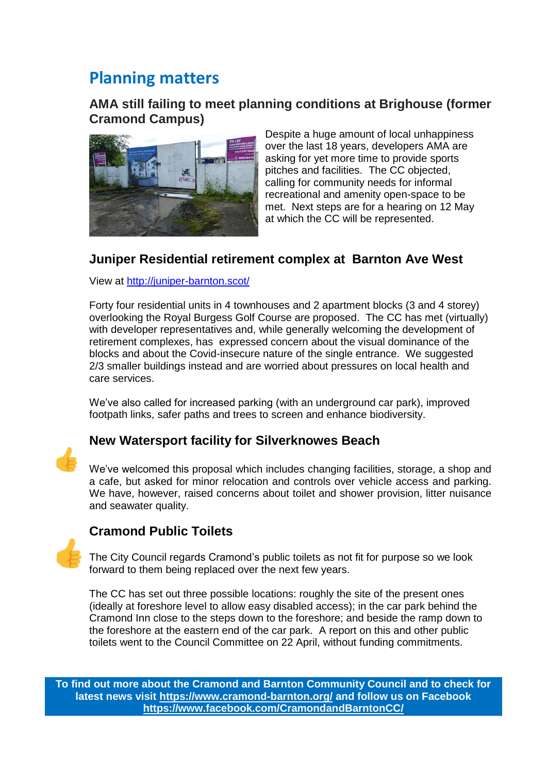## <span id="page-1-0"></span>**Planning matters**

#### **AMA still failing to meet planning conditions at Brighouse (former Cramond Campus)**



Despite a huge amount of local unhappiness over the last 18 years, developers AMA are asking for yet more time to provide sports pitches and facilities. The CC objected, calling for community needs for informal recreational and amenity open-space to be met. Next steps are for a hearing on 12 May at which the CC will be represented.

### **Juniper Residential retirement complex at Barnton Ave West**

View at<http://juniper-barnton.scot/>

Forty four residential units in 4 townhouses and 2 apartment blocks (3 and 4 storey) overlooking the Royal Burgess Golf Course are proposed. The CC has met (virtually) with developer representatives and, while generally welcoming the development of retirement complexes, has expressed concern about the visual dominance of the blocks and about the Covid-insecure nature of the single entrance. We suggested 2/3 smaller buildings instead and are worried about pressures on local health and care services.

We've also called for increased parking (with an underground car park), improved footpath links, safer paths and trees to screen and enhance biodiversity.

### **New Watersport facility for Silverknowes Beach**

We've welcomed this proposal which includes changing facilities, storage, a shop and a cafe, but asked for minor relocation and controls over vehicle access and parking. We have, however, raised concerns about toilet and shower provision, litter nuisance and seawater quality.

## **Cramond Public Toilets**

The City Council regards Cramond's public toilets as not fit for purpose so we look forward to them being replaced over the next few years.

The CC has set out three possible locations: roughly the site of the present ones (ideally at foreshore level to allow easy disabled access); in the car park behind the Cramond Inn close to the steps down to the foreshore; and beside the ramp down to the foreshore at the eastern end of the car park. A report on this and other public toilets went to the Council Committee on 22 April, without funding commitments.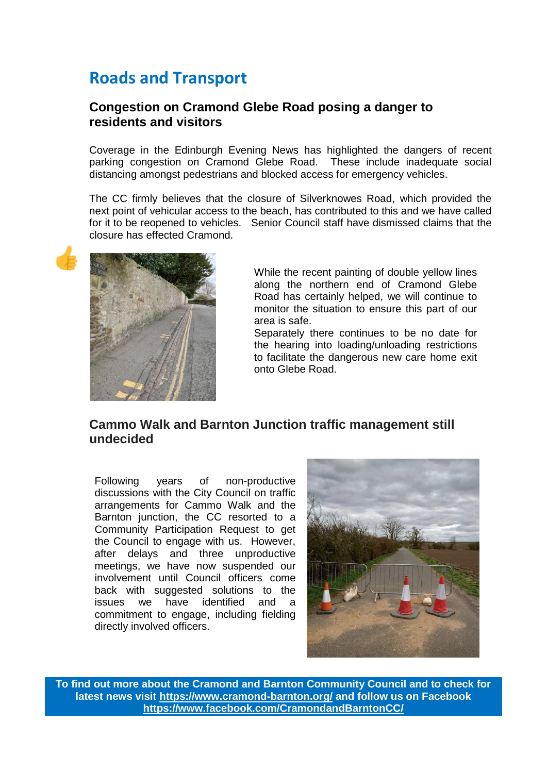## <span id="page-2-0"></span>**Roads and Transport**

#### **Congestion on Cramond Glebe Road posing a danger to residents and visitors**

Coverage in the Edinburgh Evening News has highlighted the dangers of recent parking congestion on Cramond Glebe Road. These include inadequate social distancing amongst pedestrians and blocked access for emergency vehicles.

The CC firmly believes that the closure of Silverknowes Road, which provided the next point of vehicular access to the beach, has contributed to this and we have called for it to be reopened to vehicles. Senior Council staff have dismissed claims that the closure has effected Cramond.



While the recent painting of double yellow lines along the northern end of Cramond Glebe Road has certainly helped, we will continue to monitor the situation to ensure this part of our area is safe.

Separately there continues to be no date for the hearing into loading/unloading restrictions to facilitate the dangerous new care home exit onto Glebe Road.

#### **Cammo Walk and Barnton Junction traffic management still undecided**

Following years of non-productive discussions with the City Council on traffic arrangements for Cammo Walk and the Barnton junction, the CC resorted to a Community Participation Request to get the Council to engage with us. However, after delays and three unproductive meetings, we have now suspended our involvement until Council officers come back with suggested solutions to the issues we have identified and a commitment to engage, including fielding directly involved officers.

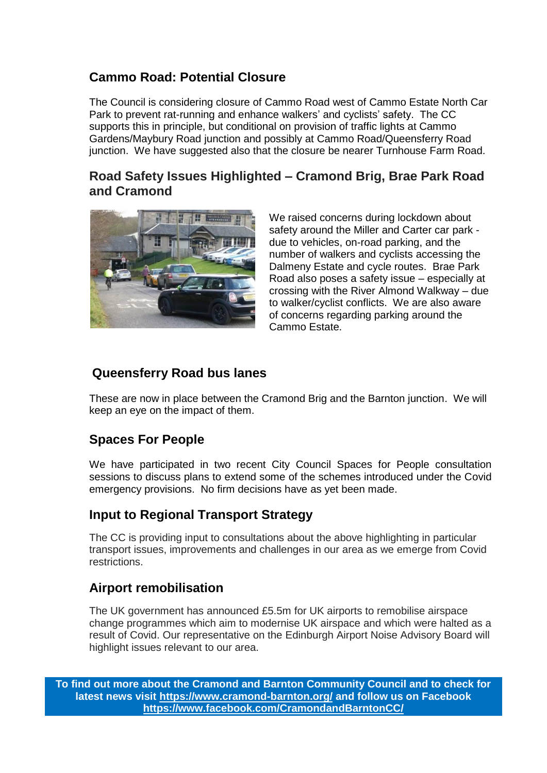### **Cammo Road: Potential Closure**

The Council is considering closure of Cammo Road west of Cammo Estate North Car Park to prevent rat-running and enhance walkers' and cyclists' safety. The CC supports this in principle, but conditional on provision of traffic lights at Cammo Gardens/Maybury Road junction and possibly at Cammo Road/Queensferry Road junction. We have suggested also that the closure be nearer Turnhouse Farm Road.

### **Road Safety Issues Highlighted – Cramond Brig, Brae Park Road and Cramond**



We raised concerns during lockdown about safety around the Miller and Carter car park due to vehicles, on-road parking, and the number of walkers and cyclists accessing the Dalmeny Estate and cycle routes. Brae Park Road also poses a safety issue – especially at crossing with the River Almond Walkway – due to walker/cyclist conflicts. We are also aware of concerns regarding parking around the Cammo Estate.

### **Queensferry Road bus lanes**

These are now in place between the Cramond Brig and the Barnton junction. We will keep an eye on the impact of them.

## **Spaces For People**

We have participated in two recent City Council Spaces for People consultation sessions to discuss plans to extend some of the schemes introduced under the Covid emergency provisions. No firm decisions have as yet been made.

## **Input to Regional Transport Strategy**

The CC is providing input to consultations about the above highlighting in particular transport issues, improvements and challenges in our area as we emerge from Covid restrictions.

## **Airport remobilisation**

The UK government has announced £5.5m for UK airports to remobilise airspace change programmes which aim to modernise UK airspace and which were halted as a result of Covid. Our representative on the Edinburgh Airport Noise Advisory Board will highlight issues relevant to our area.